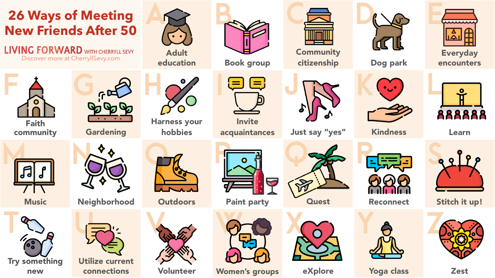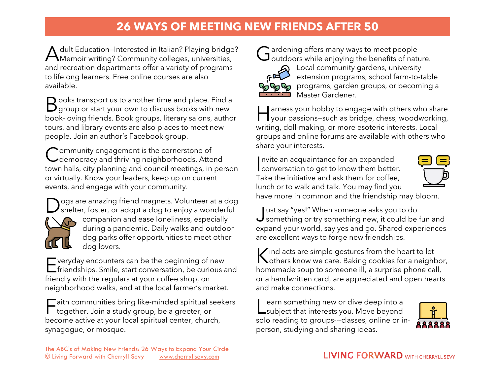## **26 WAYS OF MEETING NEW FRIENDS AFTER 50**

dult Education–Interested in Italian? Playing bridge? A dult Education–Interested in Italian? Playing bridge<br>Memoir writing? Community colleges, universities, and recreation departments offer a variety of programs to lifelong learners. Free online courses are also available.

 $\bigcirc$  ooks transport us to another time and place. Find a Books transport us to another time and place. Find a<br>B group or start your own to discuss books with new book-loving friends. Book groups, literary salons, author tours, and library events are also places to meet new people. Join an author's Facebook group.

**Pommunity engagement is the cornerstone of** Community engagement is the cornerstone of<br>Colemocracy and thriving neighborhoods. Attend town halls, city planning and council meetings, in person or virtually. Know your leaders, keep up on current events, and engage with your community.

ogs are amazing friend magnets. Volunteer at a dog



Dogs are amazing friend magnets. Volunteer at a dog<br>Shelter, foster, or adopt a dog to enjoy a wonderful companion and ease loneliness, especially during a pandemic. Daily walks and outdoor dog parks offer opportunities to meet other dog lovers.

 $\blacksquare$  veryday encounters can be the beginning of new Fueryday encounters can be the beginning of new<br>
Friendships. Smile, start conversation, be curious and friendly with the regulars at your coffee shop, on neighborhood walks, and at the local farmer's market.

 $\Box$  aith communities bring like-minded spiritual seekers Faith communities bring like-minded spiritual s<br>
together. Join a study group, be a greeter, or become active at your local spiritual center, church, synagogue, or mosque.



ardening offers many ways to meet people  $G$  ardening offers many ways to meet people<br> $G$  outdoors while enjoying the benefits of nature.



Local community gardens, university extension programs, school farm-to-table pp of programs, garden groups, or becoming a Master Gardener.

arness your hobby to engage with others who share I arness your hobby to engage with others who share<br>your passions–such as bridge, chess, woodworking, writing, doll-making, or more esoteric interests. Local groups and online forums are available with others who share your interests.

nvite an acquaintance for an expanded Invite an acquaintance for an expanded<br>
conversation to get to know them better. Take the initiative and ask them for coffee, lunch or to walk and talk. You may find you have more in common and the friendship may bloom.



ust say "yes!" When someone asks you to do Just say "yes!" When someone asks you to do<br>Something or try something new, it could be fun and expand your world, say yes and go. Shared experiences are excellent ways to forge new friendships.

 $\triangleright$  ind acts are simple gestures from the heart to let Kind acts are simple gestures from the heart to let<br> **Kothers know we care. Baking cookies for a neighbor,** homemade soup to someone ill, a surprise phone call, or a handwritten card, are appreciated and open hearts and make connections.

earn something new or dive deep into a Learn something new or dive deep into a<br>
Lsubject that interests you. Move beyond solo reading to groups---classes, online or inperson, studying and sharing ideas.

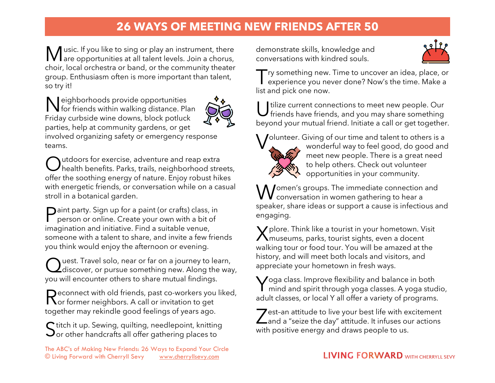## **26 WAYS OF MEETING NEW FRIENDS AFTER 50**

usic. If you like to sing or play an instrument, there Music. If you like to sing or play an instrument, there<br>Mare opportunities at all talent levels. Join a chorus, choir, local orchestra or band, or the community theater group. Enthusiasm often is more important than talent, so try it!

**N** leighborhoods provide opportunities Neighborhoods provide opportunities<br>for friends within walking distance. Plan Friday curbside wine downs, block potluck parties, help at community gardens, or get involved organizing safety or emergency response teams.



Outdoors for exercise, adventure and reap extra<br>Chealth benefits. Parks, trails, neighborhood stre  $\prime$  health benefits. Parks, trails, neighborhood streets, offer the soothing energy of nature. Enjoy robust hikes with energetic friends, or conversation while on a casual stroll in a botanical garden.

**Paint party.** Sign up for a paint (or crafts) class, in<br>person or online. Create your own with a bit of person or online. Create your own with a bit of imagination and initiative. Find a suitable venue, someone with a talent to share, and invite a few friends you think would enjoy the afternoon or evening.

uest. Travel solo, near or far on a journey to learn, Quest. Travel solo, near or far on a journey to learn,<br>Q discover, or pursue something new. Along the way, you will encounter others to share mutual findings.

 $\bigcap$  econnect with old friends, past co-workers you liked, Reconnect with old friends, past co-workers you<br>Ror former neighbors. A call or invitation to get together may rekindle good feelings of years ago.

 $\bigcap$  titch it up. Sewing, quilting, needlepoint, knitting  $S$ titch it up. Sewing, quilting, needlepoint, knitting<br>Sor other handcrafts all offer gathering places to

The ABC's of Making New Friends: 26 Ways to Expand Your Circle © Living Forward with Cherryll Sevy [www.cherryllsevy.com](http://www.cherryllsevy.com/) 

demonstrate skills, knowledge and conversations with kindred souls.



Try something new. Time to uncover an idea, place, or<br>experience you never done? Now's the time. Make a experience you never done? Now's the time. Make a list and pick one now.

tilize current connections to meet new people. Our U tilize current connections to meet new people. Our<br>friends have friends, and you may share something beyond your mutual friend. Initiate a call or get together.

olunteer. Giving of our time and talent to others is a



wonderful way to feel good, do good and meet new people. There is a great need to help others. Check out volunteer opportunities in your community.

omen's groups. The immediate connection and **W** omen's groups. The immediate connection<br>
conversation in women gathering to hear a speaker, share ideas or support a cause is infectious and engaging.

 $\bigvee$  plore. Think like a tourist in your hometown. Visit X plore. Think like a tourist in your hometown. V<br>Museums, parks, tourist sights, even a docent walking tour or food tour. You will be amazed at the history, and will meet both locals and visitors, and appreciate your hometown in fresh ways.

Yoga class. Improve flexibility and balance in both<br>mind and spirit through yoga classes. A yoga stud mind and spirit through yoga classes. A yoga studio, adult classes, or local Y all offer a variety of programs.

 $\triangledown$  est-an attitude to live your best life with excitement  $\sum$ est-an attitude to live your best life with excitement<br>and a "seize the day" attitude. It infuses our actions with positive energy and draws people to us.